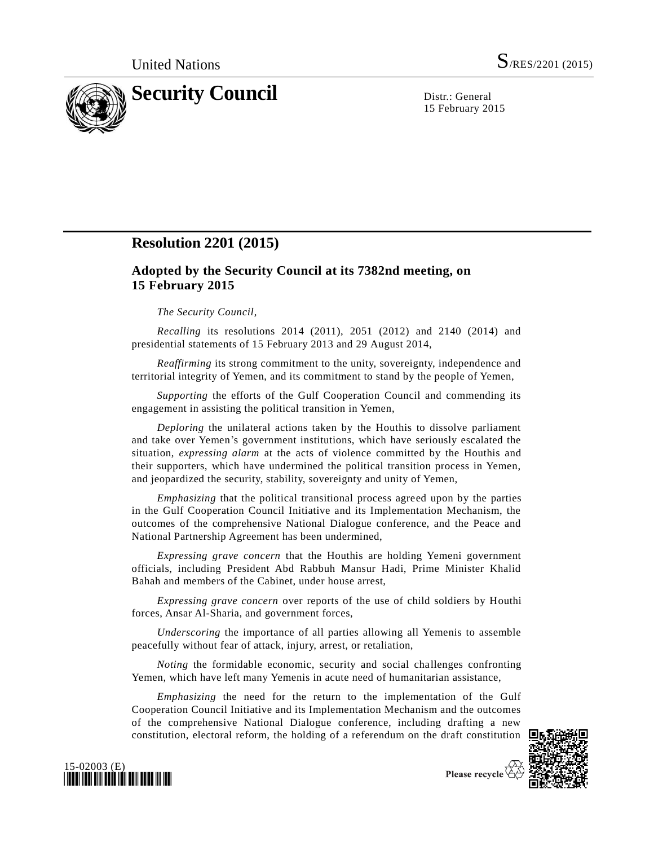

15 February 2015

## **Resolution 2201 (2015)**

## **Adopted by the Security Council at its 7382nd meeting, on 15 February 2015**

## *The Security Council*,

*Recalling* its resolutions 2014 (2011), 2051 (2012) and 2140 (2014) and presidential statements of 15 February 2013 and 29 August 2014,

*Reaffirming* its strong commitment to the unity, sovereignty, independence and territorial integrity of Yemen, and its commitment to stand by the people of Yemen,

*Supporting* the efforts of the Gulf Cooperation Council and commending its engagement in assisting the political transition in Yemen,

*Deploring* the unilateral actions taken by the Houthis to dissolve parliament and take over Yemen's government institutions, which have seriously escalated the situation, *expressing alarm* at the acts of violence committed by the Houthis and their supporters, which have undermined the political transition process in Yemen, and jeopardized the security, stability, sovereignty and unity of Yemen,

*Emphasizing* that the political transitional process agreed upon by the parties in the Gulf Cooperation Council Initiative and its Implementation Mechanism, the outcomes of the comprehensive National Dialogue conference, and the Peace and National Partnership Agreement has been undermined,

*Expressing grave concern* that the Houthis are holding Yemeni government officials, including President Abd Rabbuh Mansur Hadi, Prime Minister Khalid Bahah and members of the Cabinet, under house arrest,

*Expressing grave concern* over reports of the use of child soldiers by Houthi forces, Ansar Al-Sharia, and government forces,

*Underscoring* the importance of all parties allowing all Yemenis to assemble peacefully without fear of attack, injury, arrest, or retaliation,

*Noting* the formidable economic, security and social challenges confronting Yemen, which have left many Yemenis in acute need of humanitarian assistance,

*Emphasizing* the need for the return to the implementation of the Gulf Cooperation Council Initiative and its Implementation Mechanism and the outcomes of the comprehensive National Dialogue conference, including drafting a new constitution, electoral reform, the holding of a referendum on the draft constitution





Please recycle  $\overline{\mathcal{C}}$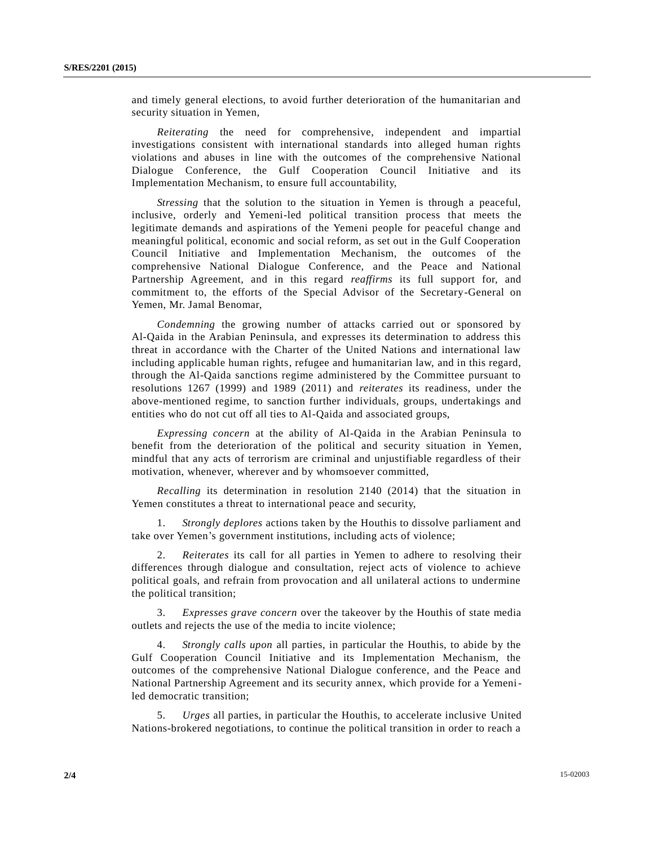and timely general elections, to avoid further deterioration of the humanitarian and security situation in Yemen,

*Reiterating* the need for comprehensive, independent and impartial investigations consistent with international standards into alleged human rights violations and abuses in line with the outcomes of the comprehensive National Dialogue Conference, the Gulf Cooperation Council Initiative and its Implementation Mechanism, to ensure full accountability,

*Stressing* that the solution to the situation in Yemen is through a peaceful, inclusive, orderly and Yemeni-led political transition process that meets the legitimate demands and aspirations of the Yemeni people for peaceful change and meaningful political, economic and social reform, as set out in the Gulf Cooperation Council Initiative and Implementation Mechanism, the outcomes of the comprehensive National Dialogue Conference, and the Peace and National Partnership Agreement, and in this regard *reaffirms* its full support for, and commitment to, the efforts of the Special Advisor of the Secretary-General on Yemen, Mr. Jamal Benomar,

*Condemning* the growing number of attacks carried out or sponsored by Al-Qaida in the Arabian Peninsula, and expresses its determination to address this threat in accordance with the Charter of the United Nations and international law including applicable human rights, refugee and humanitarian law, and in this regard, through the Al-Qaida sanctions regime administered by the Committee pursuant to resolutions 1267 (1999) and 1989 (2011) and *reiterates* its readiness, under the above-mentioned regime, to sanction further individuals, groups, undertakings and entities who do not cut off all ties to Al-Qaida and associated groups,

*Expressing concern* at the ability of Al-Qaida in the Arabian Peninsula to benefit from the deterioration of the political and security situation in Yemen, mindful that any acts of terrorism are criminal and unjustifiable regardless of their motivation, whenever, wherever and by whomsoever committed,

*Recalling* its determination in resolution 2140 (2014) that the situation in Yemen constitutes a threat to international peace and security,

1. *Strongly deplores* actions taken by the Houthis to dissolve parliament and take over Yemen's government institutions, including acts of violence;

2. *Reiterates* its call for all parties in Yemen to adhere to resolving their differences through dialogue and consultation, reject acts of violence to achieve political goals, and refrain from provocation and all unilateral actions to undermine the political transition;

3. *Expresses grave concern* over the takeover by the Houthis of state media outlets and rejects the use of the media to incite violence;

4. *Strongly calls upon* all parties, in particular the Houthis, to abide by the Gulf Cooperation Council Initiative and its Implementation Mechanism, the outcomes of the comprehensive National Dialogue conference, and the Peace and National Partnership Agreement and its security annex, which provide for a Yemeniled democratic transition;

5. *Urges* all parties, in particular the Houthis, to accelerate inclusive United Nations-brokered negotiations, to continue the political transition in order to reach a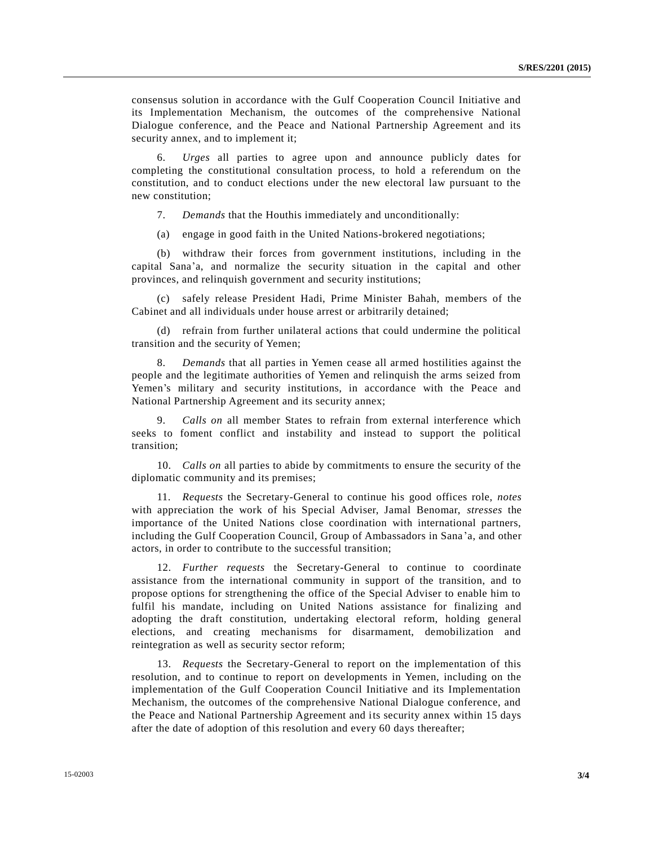consensus solution in accordance with the Gulf Cooperation Council Initiative and its Implementation Mechanism, the outcomes of the comprehensive National Dialogue conference, and the Peace and National Partnership Agreement and its security annex, and to implement it;

6. *Urges* all parties to agree upon and announce publicly dates for completing the constitutional consultation process, to hold a referendum on the constitution, and to conduct elections under the new electoral law pursuant to the new constitution;

7. *Demands* that the Houthis immediately and unconditionally:

(a) engage in good faith in the United Nations-brokered negotiations;

(b) withdraw their forces from government institutions, including in the capital Sana'a, and normalize the security situation in the capital and other provinces, and relinquish government and security institutions;

(c) safely release President Hadi, Prime Minister Bahah, members of the Cabinet and all individuals under house arrest or arbitrarily detained;

(d) refrain from further unilateral actions that could undermine the political transition and the security of Yemen;

8. *Demands* that all parties in Yemen cease all armed hostilities against the people and the legitimate authorities of Yemen and relinquish the arms seized from Yemen's military and security institutions, in accordance with the Peace and National Partnership Agreement and its security annex;

9. *Calls on* all member States to refrain from external interference which seeks to foment conflict and instability and instead to support the political transition;

10. *Calls on* all parties to abide by commitments to ensure the security of the diplomatic community and its premises;

11. *Requests* the Secretary-General to continue his good offices role, *notes* with appreciation the work of his Special Adviser, Jamal Benomar, *stresses* the importance of the United Nations close coordination with international partners, including the Gulf Cooperation Council, Group of Ambassadors in Sana 'a, and other actors, in order to contribute to the successful transition;

12. *Further requests* the Secretary-General to continue to coordinate assistance from the international community in support of the transition, and to propose options for strengthening the office of the Special Adviser to enable him to fulfil his mandate, including on United Nations assistance for finalizing and adopting the draft constitution, undertaking electoral reform, holding general elections, and creating mechanisms for disarmament, demobilization and reintegration as well as security sector reform;

13. *Requests* the Secretary-General to report on the implementation of this resolution, and to continue to report on developments in Yemen, including on the implementation of the Gulf Cooperation Council Initiative and its Implementation Mechanism, the outcomes of the comprehensive National Dialogue conference, and the Peace and National Partnership Agreement and its security annex within 15 days after the date of adoption of this resolution and every 60 days thereafter;